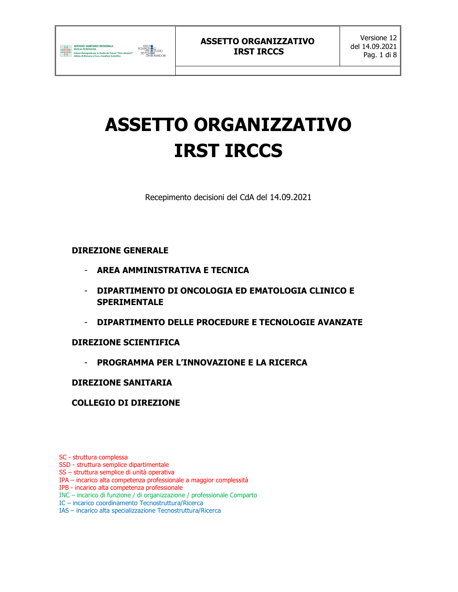

Recepimento decisioni del CdA del 14.09.2021

## DIREZIONE GENERALE

- AREA AMMINISTRATIVA E TECNICA
- DIPARTIMENTO DI ONCOLOGIA ED EMATOLOGIA CLINICO E SPERIMENTALE
- DIPARTIMENTO DELLE PROCEDURE E TECNOLOGIE AVANZATE

## DIREZIONE SCIENTIFICA

- PROGRAMMA PER L'INNOVAZIONE E LA RICERCA

## DIREZIONE SANITARIA

## COLLEGIO DI DIREZIONE

SC - struttura complessa

- SSD struttura semplice dipartimentale
- SS struttura semplice di unità operativa
- IPA incarico alta competenza professionale a maggior complessità
- IPB incarico alta competenza professionale
- INC incarico di funzione / di organizzazione / professionale Comparto
- IC incarico coordinamento Tecnostruttura/Ricerca
- IAS incarico alta specializzazione Tecnostruttura/Ricerca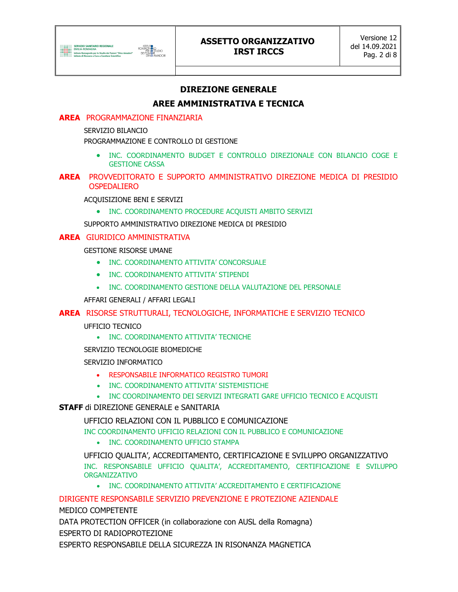

## DIREZIONE GENERALE

## AREE AMMINISTRATIVA E TECNICA

#### AREA PROGRAMMAZIONE FINANZIARIA

SERVIZIO BILANCIO

PROGRAMMAZIONE E CONTROLLO DI GESTIONE

 INC. COORDINAMENTO BUDGET E CONTROLLO DIREZIONALE CON BILANCIO COGE E GESTIONE CASSA

#### AREA PROVVEDITORATO E SUPPORTO AMMINISTRATIVO DIREZIONE MEDICA DI PRESIDIO OSPEDALIERO

ACQUISIZIONE BENI E SERVIZI

• INC. COORDINAMENTO PROCEDURE ACQUISTI AMBITO SERVIZI

SUPPORTO AMMINISTRATIVO DIREZIONE MEDICA DI PRESIDIO

#### AREA GIURIDICO AMMINISTRATIVA

GESTIONE RISORSE UMANE

- **INC. COORDINAMENTO ATTIVITA' CONCORSUALE**
- INC. COORDINAMENTO ATTIVITA' STIPENDI
- INC. COORDINAMENTO GESTIONE DELLA VALUTAZIONE DEL PERSONALE

AFFARI GENERALI / AFFARI LEGALI

#### AREA RISORSE STRUTTURALI, TECNOLOGICHE, INFORMATICHE E SERVIZIO TECNICO

UFFICIO TECNICO

• INC. COORDINAMENTO ATTIVITA' TECNICHE

SERVIZIO TECNOLOGIE BIOMEDICHE

SERVIZIO INFORMATICO

- RESPONSABILE INFORMATICO REGISTRO TUMORI
- INC. COORDINAMENTO ATTIVITA' SISTEMISTICHE
- INC COORDINAMENTO DEI SERVIZI INTEGRATI GARE UFFICIO TECNICO E ACQUISTI

#### STAFF di DIREZIONE GENERALE e SANITARIA

UFFICIO RELAZIONI CON IL PUBBLICO E COMUNICAZIONE

INC COORDINAMENTO UFFICIO RELAZIONI CON IL PUBBLICO E COMUNICAZIONE

• INC. COORDINAMENTO UFFICIO STAMPA

UFFICIO QUALITA', ACCREDITAMENTO, CERTIFICAZIONE E SVILUPPO ORGANIZZATIVO INC. RESPONSABILE UFFICIO QUALITA', ACCREDITAMENTO, CERTIFICAZIONE E SVILUPPO ORGANIZZATIVO

INC. COORDINAMENTO ATTIVITA' ACCREDITAMENTO E CERTIFICAZIONE

DIRIGENTE RESPONSABILE SERVIZIO PREVENZIONE E PROTEZIONE AZIENDALE

MEDICO COMPETENTE

DATA PROTECTION OFFICER (in collaborazione con AUSL della Romagna) ESPERTO DI RADIOPROTEZIONE

ESPERTO RESPONSABILE DELLA SICUREZZA IN RISONANZA MAGNETICA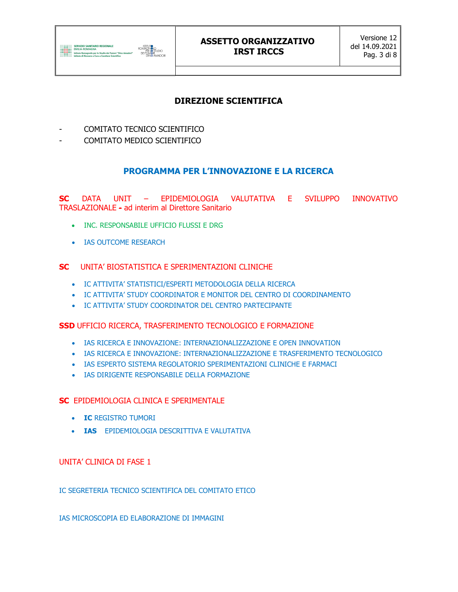

## DIREZIONE SCIENTIFICA

- COMITATO TECNICO SCIENTIFICO
- COMITATO MEDICO SCIENTIFICO

## PROGRAMMA PER L'INNOVAZIONE E LA RICERCA

SC DATA UNIT – EPIDEMIOLOGIA VALUTATIVA E SVILUPPO INNOVATIVO TRASLAZIONALE - ad interim al Direttore Sanitario

- **INC. RESPONSABILE UFFICIO FLUSSI E DRG**
- IAS OUTCOME RESEARCH

#### SC UNITA' BIOSTATISTICA E SPERIMENTAZIONI CLINICHE

- IC ATTIVITA' STATISTICI/ESPERTI METODOLOGIA DELLA RICERCA
- IC ATTIVITA' STUDY COORDINATOR E MONITOR DEL CENTRO DI COORDINAMENTO
- IC ATTIVITA' STUDY COORDINATOR DEL CENTRO PARTECIPANTE

#### SSD UFFICIO RICERCA, TRASFERIMENTO TECNOLOGICO E FORMAZIONE

- IAS RICERCA E INNOVAZIONE: INTERNAZIONALIZZAZIONE E OPEN INNOVATION
- IAS RICERCA E INNOVAZIONE: INTERNAZIONALIZZAZIONE E TRASFERIMENTO TECNOLOGICO
- IAS ESPERTO SISTEMA REGOLATORIO SPERIMENTAZIONI CLINICHE E FARMACI
- IAS DIRIGENTE RESPONSABILE DELLA FORMAZIONE

#### SC EPIDEMIOLOGIA CLINICA E SPERIMENTALE

- **IC REGISTRO TUMORI**
- **. IAS** EPIDEMIOLOGIA DESCRITTIVA E VALUTATIVA

#### UNITA' CLINICA DI FASE 1

IC SEGRETERIA TECNICO SCIENTIFICA DEL COMITATO ETICO

IAS MICROSCOPIA ED ELABORAZIONE DI IMMAGINI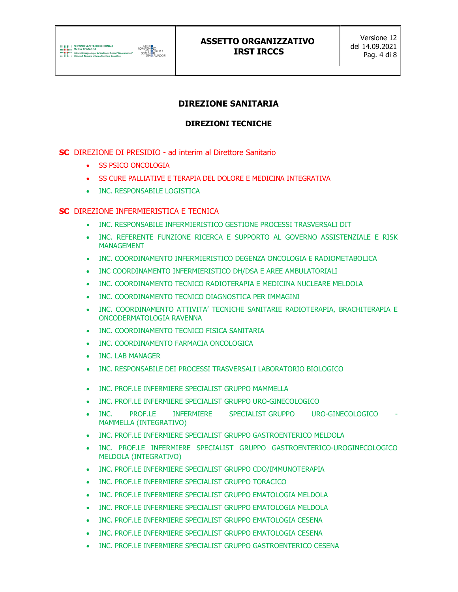

## DIREZIONE SANITARIA

## DIREZIONI TECNICHE

#### SC DIREZIONE DI PRESIDIO - ad interim al Direttore Sanitario

- **SS PSICO ONCOLOGIA**
- **SS CURE PALLIATIVE E TERAPIA DEL DOLORE E MEDICINA INTEGRATIVA**
- INC. RESPONSABILE LOGISTICA

#### SC DIREZIONE INFERMIERISTICA E TECNICA

- INC. RESPONSABILE INFERMIERISTICO GESTIONE PROCESSI TRASVERSALI DIT
- INC. REFERENTE FUNZIONE RICERCA E SUPPORTO AL GOVERNO ASSISTENZIALE E RISK MANAGEMENT
- INC. COORDINAMENTO INFERMIERISTICO DEGENZA ONCOLOGIA E RADIOMETABOLICA
- INC COORDINAMENTO INFERMIERISTICO DH/DSA E AREE AMBULATORIALI
- INC. COORDINAMENTO TECNICO RADIOTERAPIA E MEDICINA NUCLEARE MELDOLA
- INC. COORDINAMENTO TECNICO DIAGNOSTICA PER IMMAGINI
- INC. COORDINAMENTO ATTIVITA' TECNICHE SANITARIE RADIOTERAPIA, BRACHITERAPIA E ONCODERMATOLOGIA RAVENNA
- **. INC. COORDINAMENTO TECNICO FISICA SANITARIA**
- **INC. COORDINAMENTO FARMACIA ONCOLOGICA**
- INC. LAB MANAGER
- INC. RESPONSABILE DEI PROCESSI TRASVERSALI LABORATORIO BIOLOGICO
- INC. PROF.LE INFERMIERE SPECIALIST GRUPPO MAMMELLA
- INC. PROF.LE INFERMIERE SPECIALIST GRUPPO URO-GINECOLOGICO
- . INC. PROF.LE INFERMIERE SPECIALIST\_GRUPPO URO-GINECOLOGICO MAMMELLA (INTEGRATIVO)
- INC. PROF.LE INFERMIERE SPECIALIST GRUPPO GASTROENTERICO MELDOLA
- INC. PROF.LE INFERMIERE SPECIALIST GRUPPO GASTROENTERICO-UROGINECOLOGICO MELDOLA (INTEGRATIVO)
- INC. PROF.LE INFERMIERE SPECIALIST GRUPPO CDO/IMMUNOTERAPIA
- INC. PROF.LE INFERMIERE SPECIALIST GRUPPO TORACICO
- INC. PROF.LE INFERMIERE SPECIALIST GRUPPO EMATOLOGIA MELDOLA
- INC. PROF.LE INFERMIERE SPECIALIST GRUPPO EMATOLOGIA MELDOLA
- INC. PROF.LE INFERMIERE SPECIALIST GRUPPO EMATOLOGIA CESENA
- INC. PROF.LE INFERMIERE SPECIALIST GRUPPO EMATOLOGIA CESENA
- INC. PROF.LE INFERMIERE SPECIALIST GRUPPO GASTROENTERICO CESENA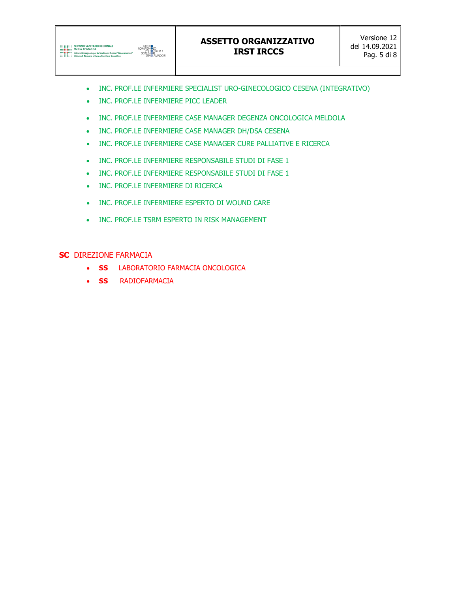

- INC. PROF.LE INFERMIERE SPECIALIST URO-GINECOLOGICO CESENA (INTEGRATIVO)
- INC. PROF.LE INFERMIERE PICC LEADER
- INC. PROF.LE INFERMIERE CASE MANAGER DEGENZA ONCOLOGICA MELDOLA
- INC. PROF.LE INFERMIERE CASE MANAGER DH/DSA CESENA
- INC. PROF.LE INFERMIERE CASE MANAGER CURE PALLIATIVE E RICERCA
- INC. PROF.LE INFERMIERE RESPONSABILE STUDI DI FASE 1
- INC. PROF.LE INFERMIERE RESPONSABILE STUDI DI FASE 1
- INC. PROF.LE INFERMIERE DI RICERCA
- INC. PROF.LE INFERMIERE ESPERTO DI WOUND CARE
- INC. PROF.LE TSRM ESPERTO IN RISK MANAGEMENT

#### SC DIREZIONE FARMACIA

- **SS** LABORATORIO FARMACIA ONCOLOGICA
- **SS** RADIOFARMACIA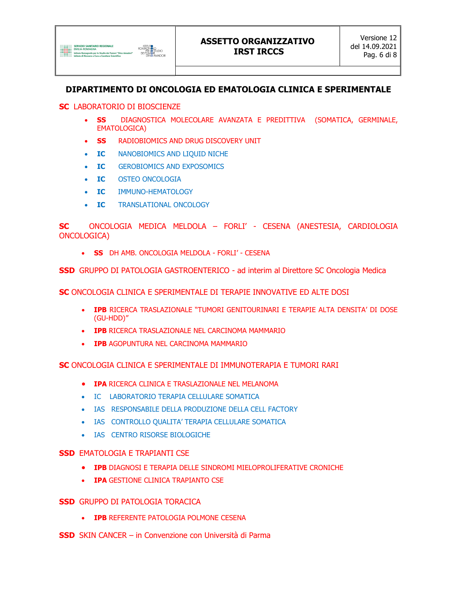

## DIPARTIMENTO DI ONCOLOGIA ED EMATOLOGIA CLINICA E SPERIMENTALE

#### SC LABORATORIO DI BIOSCIENZE

- SS DIAGNOSTICA MOLECOLARE AVANZATA E PREDITTIVA (SOMATICA, GERMINALE, EMATOLOGICA)
- SS RADIOBIOMICS AND DRUG DISCOVERY UNIT
- IC NANOBIOMICS AND LIOUID NICHE
- IC GEROBIOMICS AND EXPOSOMICS
- IC OSTEO ONCOLOGIA
- IC IMMUNO-HEMATOLOGY
- **IC** TRANSLATIONAL ONCOLOGY

SC ONCOLOGIA MEDICA MELDOLA – FORLI' - CESENA (ANESTESIA, CARDIOLOGIA ONCOLOGICA)

• SS DH AMB. ONCOLOGIA MELDOLA - FORLI' - CESENA

SSD GRUPPO DI PATOLOGIA GASTROENTERICO - ad interim al Direttore SC Oncologia Medica

SC ONCOLOGIA CLINICA E SPERIMENTALE DI TERAPIE INNOVATIVE ED ALTE DOSI

- IPB RICERCA TRASLAZIONALE "TUMORI GENITOURINARI E TERAPIE ALTA DENSITA' DI DOSE (GU-HDD)"
- IPB RICERCA TRASLAZIONALE NEL CARCINOMA MAMMARIO
- **IPB AGOPUNTURA NEL CARCINOMA MAMMARIO**

SC ONCOLOGIA CLINICA E SPERIMENTALE DI IMMUNOTERAPIA E TUMORI RARI

- **IPA RICERCA CLINICA E TRASLAZIONALE NEL MELANOMA**
- IC LABORATORIO TERAPIA CELLULARE SOMATICA
- IAS RESPONSABILE DELLA PRODUZIONE DELLA CELL FACTORY
- IAS CONTROLLO QUALITA' TERAPIA CELLULARE SOMATICA
- IAS CENTRO RISORSE BIOLOGICHE

#### **SSD EMATOLOGIA E TRAPIANTI CSE**

- **IPB** DIAGNOSI E TERAPIA DELLE SINDROMI MIELOPROLIFERATIVE CRONICHE
- **IPA GESTIONE CLINICA TRAPIANTO CSE**

#### SSD GRUPPO DI PATOLOGIA TORACICA

- **IPB REFERENTE PATOLOGIA POLMONE CESENA**
- SSD SKIN CANCER in Convenzione con Università di Parma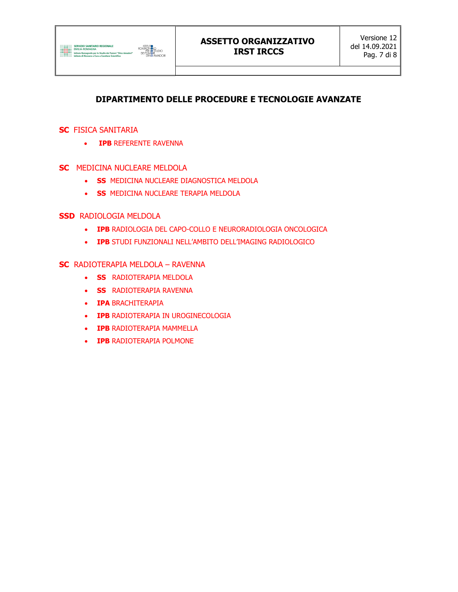

# DIPARTIMENTO DELLE PROCEDURE E TECNOLOGIE AVANZATE

#### **SC** FISICA SANITARIA

- **IPB REFERENTE RAVENNA**
- SC MEDICINA NUCLEARE MELDOLA
	- **SS MEDICINA NUCLEARE DIAGNOSTICA MELDOLA**
	- **SS MEDICINA NUCLEARE TERAPIA MELDOLA**

#### **SSD RADIOLOGIA MELDOLA**

- IPB RADIOLOGIA DEL CAPO-COLLO E NEURORADIOLOGIA ONCOLOGICA
- IPB STUDI FUNZIONALI NELL'AMBITO DELL'IMAGING RADIOLOGICO

#### SC RADIOTERAPIA MELDOLA – RAVENNA

- **SS** RADIOTERAPIA MELDOLA
- **SS** RADIOTERAPIA RAVENNA
- **IPA BRACHITERAPIA**
- **IPB RADIOTERAPIA IN UROGINECOLOGIA**
- **IPB RADIOTERAPIA MAMMELLA**
- **IPB RADIOTERAPIA POLMONE**